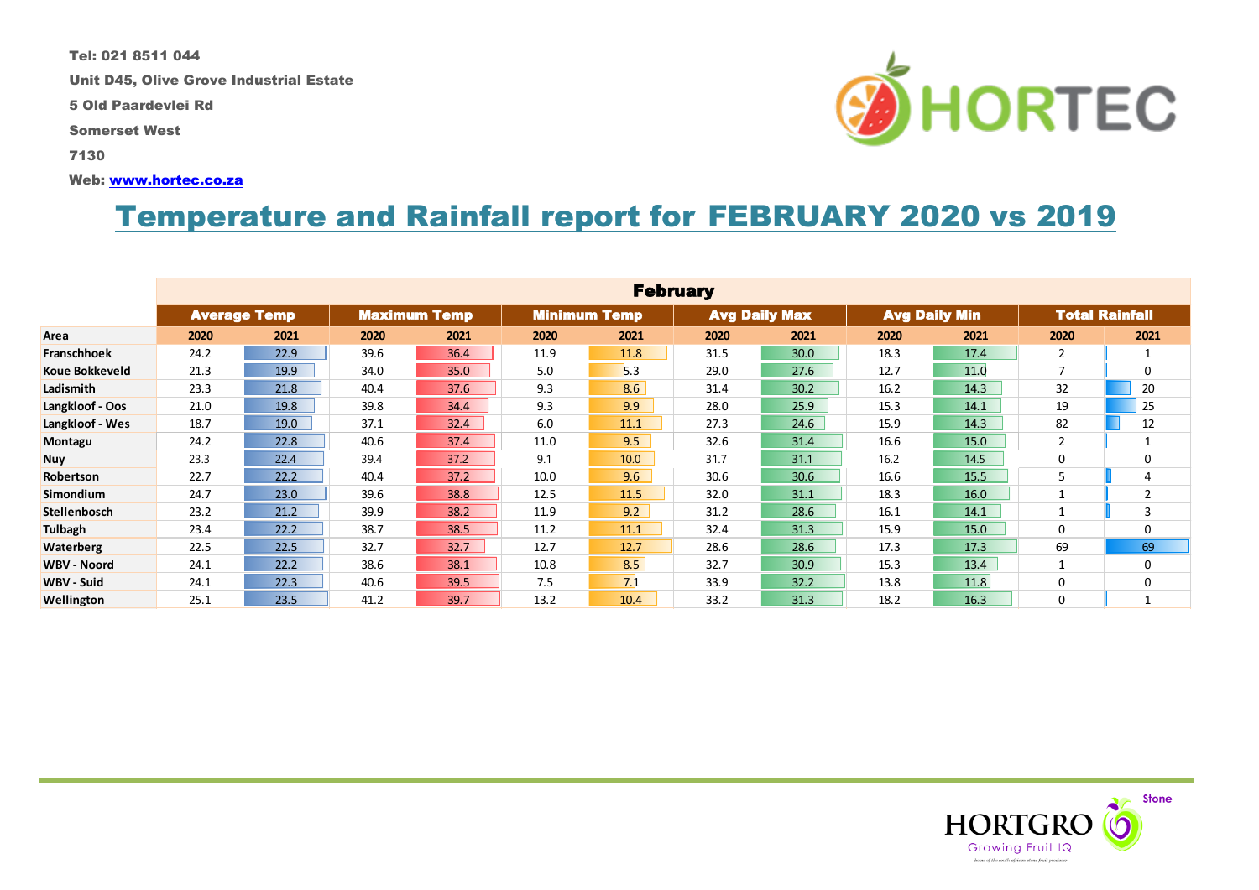Tel: 021 8511 044

Unit D45, Olive Grove Industrial Estate

5 Old Paardevlei Rd

Somerset West

7130

Web: [www.hortec.co.za](http://www.hortec.co.za/)

## Temperature and Rainfall report for FEBRUARY 2020 vs 2019

|                       |                     |      |      |                     |      | <b>February</b>     |      |                      |                      |      |                |                       |
|-----------------------|---------------------|------|------|---------------------|------|---------------------|------|----------------------|----------------------|------|----------------|-----------------------|
|                       | <b>Average Temp</b> |      |      | <b>Maximum Temp</b> |      | <b>Minimum Temp</b> |      | <b>Avg Daily Max</b> | <b>Avg Daily Min</b> |      |                | <b>Total Rainfall</b> |
| Area                  | 2020                | 2021 | 2020 | 2021                | 2020 | 2021                | 2020 | 2021                 | 2020                 | 2021 | 2020           | 2021                  |
| <b>Franschhoek</b>    | 24.2                | 22.9 | 39.6 | 36.4                | 11.9 | 11.8                | 31.5 | 30.0                 | 18.3                 | 17.4 | $\overline{2}$ | 1                     |
| <b>Koue Bokkeveld</b> | 21.3                | 19.9 | 34.0 | 35.0                | 5.0  | 5.3                 | 29.0 | 27.6                 | 12.7                 | 11.0 | $\overline{7}$ | 0                     |
| Ladismith             | 23.3                | 21.8 | 40.4 | 37.6                | 9.3  | 8.6                 | 31.4 | 30.2                 | 16.2                 | 14.3 | 32             | 20                    |
| Langkloof - Oos       | 21.0                | 19.8 | 39.8 | 34.4                | 9.3  | 9.9                 | 28.0 | 25.9                 | 15.3                 | 14.1 | 19             | 25                    |
| Langkloof - Wes       | 18.7                | 19.0 | 37.1 | 32.4                | 6.0  | 11.1                | 27.3 | 24.6                 | 15.9                 | 14.3 | 82             | 12                    |
| Montagu               | 24.2                | 22.8 | 40.6 | 37.4                | 11.0 | 9.5                 | 32.6 | 31.4                 | 16.6                 | 15.0 | $\overline{2}$ |                       |
| <b>Nuy</b>            | 23.3                | 22.4 | 39.4 | 37.2                | 9.1  | 10.0                | 31.7 | 31.1                 | 16.2                 | 14.5 | 0              | 0                     |
| Robertson             | 22.7                | 22.2 | 40.4 | 37.2                | 10.0 | 9.6                 | 30.6 | 30.6                 | 16.6                 | 15.5 | 5              | $\overline{4}$        |
| <b>Simondium</b>      | 24.7                | 23.0 | 39.6 | 38.8                | 12.5 | 11.5                | 32.0 | 31.1                 | 18.3                 | 16.0 | $\mathbf{1}$   | $\overline{2}$        |
| Stellenbosch          | 23.2                | 21.2 | 39.9 | 38.2                | 11.9 | 9.2                 | 31.2 | 28.6                 | 16.1                 | 14.1 | 1              | 3                     |
| Tulbagh               | 23.4                | 22.2 | 38.7 | 38.5                | 11.2 | 11.1                | 32.4 | 31.3                 | 15.9                 | 15.0 | 0              | $\Omega$              |
| <b>Waterberg</b>      | 22.5                | 22.5 | 32.7 | 32.7                | 12.7 | 12.7                | 28.6 | 28.6                 | 17.3                 | 17.3 | 69             | 69                    |
| <b>WBV - Noord</b>    | 24.1                | 22.2 | 38.6 | 38.1                | 10.8 | 8.5                 | 32.7 | 30.9                 | 15.3                 | 13.4 | 1              | $\Omega$              |
| WBV - Suid            | 24.1                | 22.3 | 40.6 | 39.5                | 7.5  | 7.1                 | 33.9 | 32.2                 | 13.8                 | 11.8 | 0              | $\Omega$              |
| Wellington            | 25.1                | 23.5 | 41.2 | 39.7                | 13.2 | 10.4                | 33.2 | 31.3                 | 18.2                 | 16.3 | 0              | 1                     |



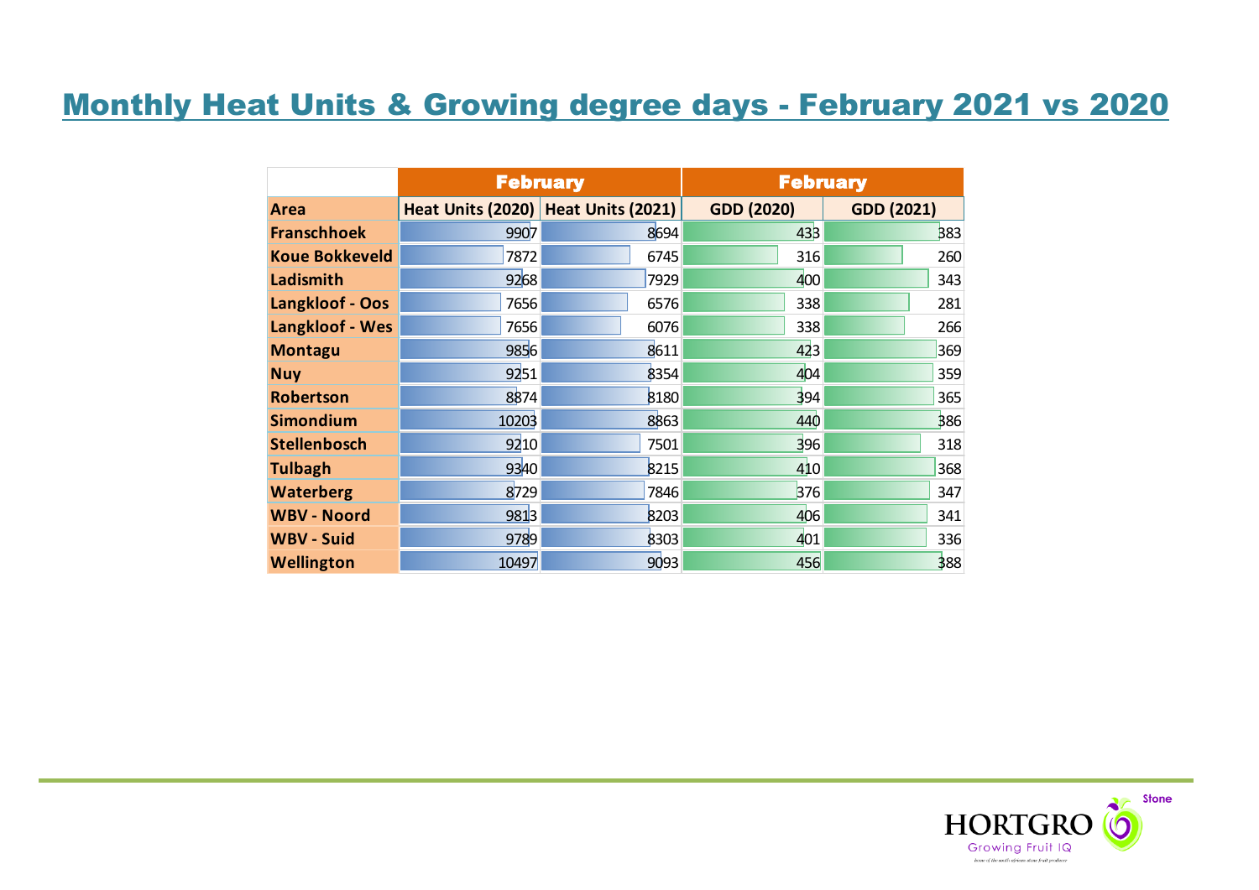# Monthly Heat Units & Growing degree days - February 2021 vs 2020

|                       |       | <b>February</b>                     | <b>February</b>   |                   |  |  |
|-----------------------|-------|-------------------------------------|-------------------|-------------------|--|--|
| Area                  |       | Heat Units (2020) Heat Units (2021) | <b>GDD (2020)</b> | <b>GDD (2021)</b> |  |  |
| <b>Franschhoek</b>    | 9907  | 8694                                | 43 <sub>3</sub>   | 383               |  |  |
| <b>Koue Bokkeveld</b> | 7872  | 6745                                | 316               | 260               |  |  |
| Ladismith             | 9268  | 7929                                | 400               | 343               |  |  |
| Langkloof - Oos       | 7656  | 6576                                | 338               | 281               |  |  |
| Langkloof - Wes       | 7656  | 6076                                | 338               | 266               |  |  |
| <b>Montagu</b>        | 9856  | 8611                                | 423               | 369               |  |  |
| <b>Nuy</b>            | 9251  | 8354                                | 404               | 359               |  |  |
| <b>Robertson</b>      | 8874  | 8180                                | 394               | 365               |  |  |
| <b>Simondium</b>      | 10203 | 8863                                | 440               | 386               |  |  |
| <b>Stellenbosch</b>   | 9210  | 7501                                | 396               | 318               |  |  |
| <b>Tulbagh</b>        | 9340  | 8215                                | 410               | 368               |  |  |
| <b>Waterberg</b>      | 8729  | 7846                                | 376               | 347               |  |  |
| <b>WBV - Noord</b>    | 9813  | 8203                                | 406               | 341               |  |  |
| <b>WBV - Suid</b>     | 9789  | 8303                                | 401               | 336               |  |  |
| Wellington            | 10497 | 9093                                | 456               | 388               |  |  |

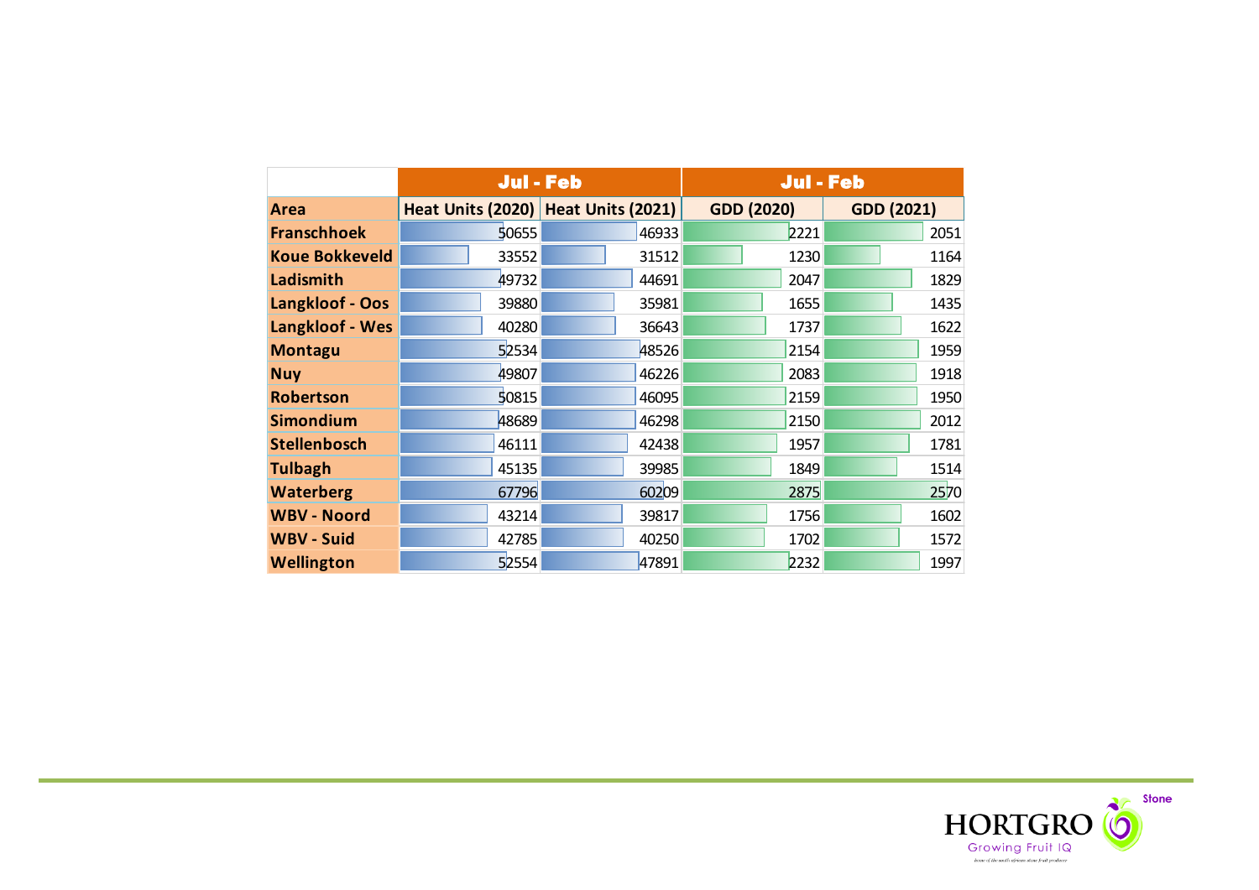|                       | Jul - Feb |                                     | <b>Jul - Feb</b>  |                   |  |  |
|-----------------------|-----------|-------------------------------------|-------------------|-------------------|--|--|
| <b>Area</b>           |           | Heat Units (2020) Heat Units (2021) | <b>GDD (2020)</b> | <b>GDD (2021)</b> |  |  |
| <b>Franschhoek</b>    | 50655     | 46933                               | 2221              | 2051              |  |  |
| <b>Koue Bokkeveld</b> | 33552     | 31512                               | 1230              | 1164              |  |  |
| Ladismith             | 49732     | 44691                               | 2047              | 1829              |  |  |
| Langkloof - Oos       | 39880     | 35981                               | 1655              | 1435              |  |  |
| Langkloof - Wes       | 40280     | 36643                               | 1737              | 1622              |  |  |
| <b>Montagu</b>        | 52534     | 48526                               | 2154              | 1959              |  |  |
| <b>Nuy</b>            | 49807     | 46226                               | 2083              | 1918              |  |  |
| <b>Robertson</b>      | 50815     | 46095                               | 2159              | 1950              |  |  |
| <b>Simondium</b>      | 48689     | 46298                               | 2150              | 2012              |  |  |
| <b>Stellenbosch</b>   | 46111     | 42438                               | 1957              | 1781              |  |  |
| <b>Tulbagh</b>        | 45135     | 39985                               | 1849              | 1514              |  |  |
| <b>Waterberg</b>      | 67796     | 60209                               | 2875              | 2570              |  |  |
| <b>WBV - Noord</b>    | 43214     | 39817                               | 1756              | 1602              |  |  |
| <b>WBV - Suid</b>     | 42785     | 40250                               | 1702              | 1572              |  |  |
| <b>Wellington</b>     | 52554     | 47891                               | 2232              | 1997              |  |  |

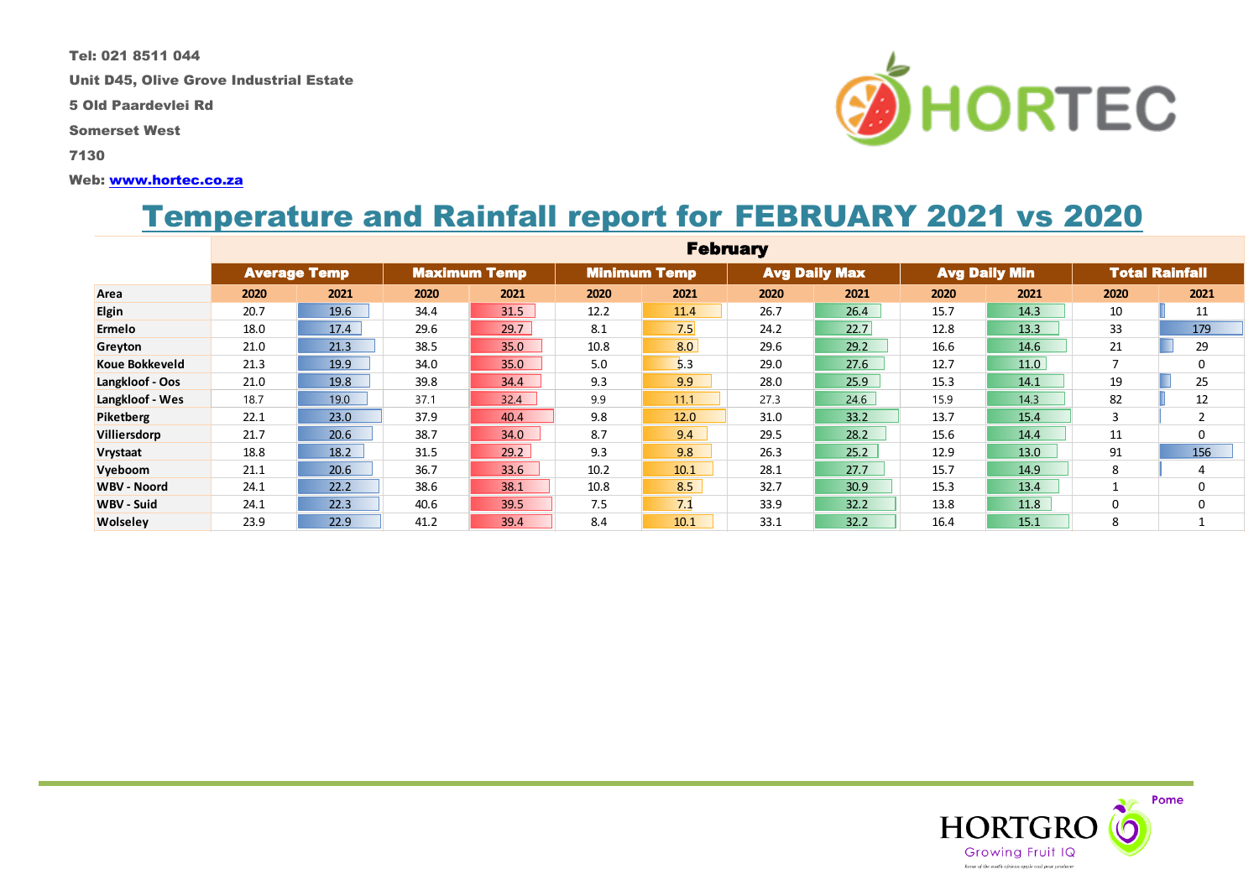Tel: 021 8511 044

Unit D45, Olive Grove Industrial Estate

5 Old Paardevlei Rd

Somerset West

7130

#### Web: [www.hortec.co.za](http://www.hortec.co.za/)

## Temperature and Rainfall report for FEBRUARY 2021 vs 2020

|                       |      |                     |      |                     |      | <b>February</b>     |      |                      |      |                      |                          |                       |
|-----------------------|------|---------------------|------|---------------------|------|---------------------|------|----------------------|------|----------------------|--------------------------|-----------------------|
|                       |      | <b>Average Temp</b> |      | <b>Maximum Temp</b> |      | <b>Minimum Temp</b> |      | <b>Avg Daily Max</b> |      | <b>Avg Daily Min</b> |                          | <b>Total Rainfall</b> |
| Area                  | 2020 | 2021                | 2020 | 2021                | 2020 | 2021                | 2020 | 2021                 | 2020 | 2021                 | 2020                     | 2021                  |
| <b>Elgin</b>          | 20.7 | 19.6                | 34.4 | 31.5                | 12.2 | 11.4                | 26.7 | 26.4                 | 15.7 | 14.3                 | 10                       | 11                    |
| <b>Ermelo</b>         | 18.0 | 17.4                | 29.6 | 29.7                | 8.1  | 7.5                 | 24.2 | 22.7                 | 12.8 | 13.3                 | 33                       | 179                   |
| Greyton               | 21.0 | 21.3                | 38.5 | 35.0                | 10.8 | 8.0                 | 29.6 | 29.2                 | 16.6 | 14.6                 | 21                       | 29                    |
| <b>Koue Bokkeveld</b> | 21.3 | 19.9                | 34.0 | 35.0                | 5.0  | 5.3                 | 29.0 | 27.6                 | 12.7 | 11.0                 | $\overline{\phantom{a}}$ | 0                     |
| Langkloof - Oos       | 21.0 | 19.8                | 39.8 | 34.4                | 9.3  | 9.9                 | 28.0 | 25.9                 | 15.3 | 14.1                 | 19                       | 25                    |
| Langkloof - Wes       | 18.7 | 19.0                | 37.1 | 32.4                | 9.9  | 11.1                | 27.3 | 24.6                 | 15.9 | 14.3                 | 82                       | 12                    |
| Piketberg             | 22.1 | 23.0                | 37.9 | 40.4                | 9.8  | 12.0                | 31.0 | 33.2                 | 13.7 | 15.4                 | 3                        | $\overline{2}$        |
| Villiersdorp          | 21.7 | 20.6                | 38.7 | 34.0                | 8.7  | 9.4                 | 29.5 | 28.2                 | 15.6 | 14.4                 | 11                       | 0                     |
| Vrystaat              | 18.8 | 18.2                | 31.5 | 29.2                | 9.3  | 9.8                 | 26.3 | 25.2                 | 12.9 | 13.0                 | 91                       | 156                   |
| Vyeboom               | 21.1 | 20.6                | 36.7 | 33.6                | 10.2 | 10.1                | 28.1 | 27.7                 | 15.7 | 14.9                 | 8                        | 4                     |
| <b>WBV - Noord</b>    | 24.1 | 22.2                | 38.6 | 38.1                | 10.8 | 8.5                 | 32.7 | 30.9                 | 15.3 | 13.4                 |                          | 0                     |
| <b>WBV - Suid</b>     | 24.1 | 22.3                | 40.6 | 39.5                | 7.5  | 7.1                 | 33.9 | 32.2                 | 13.8 | 11.8                 | 0                        | 0                     |
| <b>Wolseley</b>       | 23.9 | 22.9                | 41.2 | 39.4                | 8.4  | 10.1                | 33.1 | 32.2                 | 16.4 | 15.1                 | 8                        |                       |